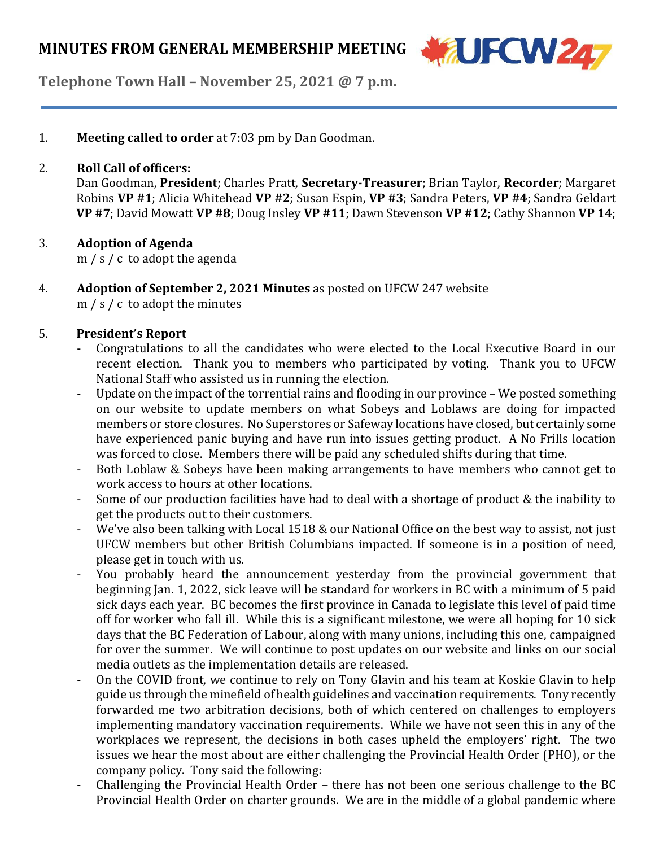

**Telephone Town Hall – November 25, 2021 @ 7 p.m.**

1. **Meeting called to order** at 7:03 pm by Dan Goodman.

#### 2. **Roll Call of officers:**

Dan Goodman, **President**; Charles Pratt, **Secretary-Treasurer**; Brian Taylor, **Recorder**; Margaret Robins **VP #1**; Alicia Whitehead **VP #2**; Susan Espin, **VP #3**; Sandra Peters, **VP #4**; Sandra Geldart **VP #7**; David Mowatt **VP #8**; Doug Insley **VP #11**; Dawn Stevenson **VP #12**; Cathy Shannon **VP 14**;

#### 3. **Adoption of Agenda**

m / s / c to adopt the agenda

4. **Adoption of September 2, 2021 Minutes** as posted on UFCW 247 website m / s / c to adopt the minutes

#### 5. **President's Report**

- Congratulations to all the candidates who were elected to the Local Executive Board in our recent election. Thank you to members who participated by voting. Thank you to UFCW National Staff who assisted us in running the election.
- Update on the impact of the torrential rains and flooding in our province We posted something on our website to update members on what Sobeys and Loblaws are doing for impacted members or store closures. No Superstores or Safeway locations have closed, but certainly some have experienced panic buying and have run into issues getting product. A No Frills location was forced to close. Members there will be paid any scheduled shifts during that time.
- Both Loblaw & Sobeys have been making arrangements to have members who cannot get to work access to hours at other locations.
- Some of our production facilities have had to deal with a shortage of product  $\&$  the inability to get the products out to their customers.
- We've also been talking with Local 1518 & our National Office on the best way to assist, not just UFCW members but other British Columbians impacted. If someone is in a position of need, please get in touch with us.
- You probably heard the announcement yesterday from the provincial government that beginning Jan. 1, 2022, sick leave will be standard for workers in BC with a minimum of 5 paid sick days each year. BC becomes the first province in Canada to legislate this level of paid time off for worker who fall ill. While this is a significant milestone, we were all hoping for 10 sick days that the BC Federation of Labour, along with many unions, including this one, campaigned for over the summer. We will continue to post updates on our website and links on our social media outlets as the implementation details are released.
- On the COVID front, we continue to rely on Tony Glavin and his team at Koskie Glavin to help guide us through the minefield of health guidelines and vaccination requirements. Tony recently forwarded me two arbitration decisions, both of which centered on challenges to employers implementing mandatory vaccination requirements. While we have not seen this in any of the workplaces we represent, the decisions in both cases upheld the employers' right. The two issues we hear the most about are either challenging the Provincial Health Order (PHO), or the company policy. Tony said the following:
- Challenging the Provincial Health Order there has not been one serious challenge to the BC Provincial Health Order on charter grounds. We are in the middle of a global pandemic where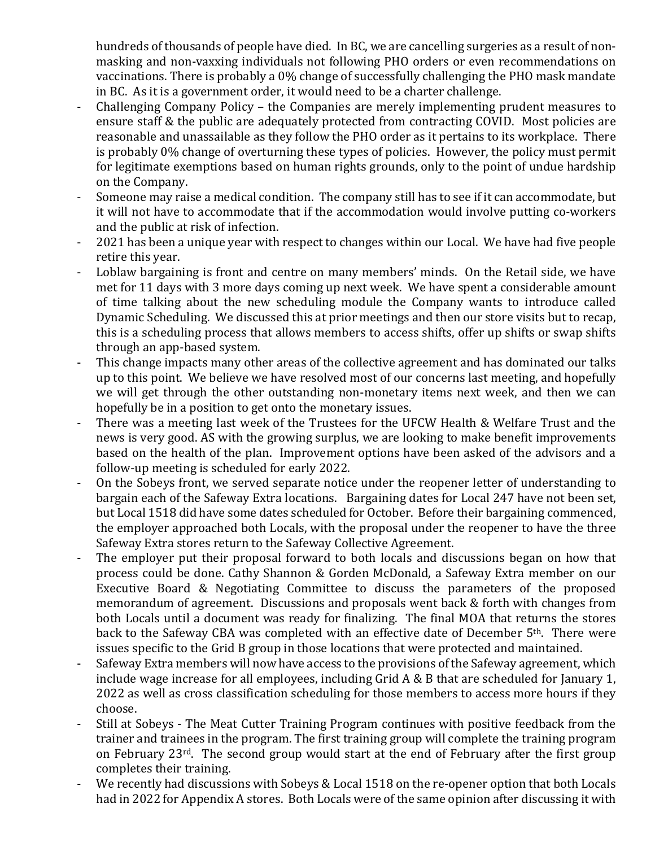hundreds of thousands of people have died. In BC, we are cancelling surgeries as a result of nonmasking and non-vaxxing individuals not following PHO orders or even recommendations on vaccinations. There is probably a 0% change of successfully challenging the PHO mask mandate in BC. As it is a government order, it would need to be a charter challenge.

- Challenging Company Policy the Companies are merely implementing prudent measures to ensure staff & the public are adequately protected from contracting COVID. Most policies are reasonable and unassailable as they follow the PHO order as it pertains to its workplace. There is probably 0% change of overturning these types of policies. However, the policy must permit for legitimate exemptions based on human rights grounds, only to the point of undue hardship on the Company.
- Someone may raise a medical condition. The company still has to see if it can accommodate, but it will not have to accommodate that if the accommodation would involve putting co-workers and the public at risk of infection.
- 2021 has been a unique year with respect to changes within our Local. We have had five people retire this year.
- Loblaw bargaining is front and centre on many members' minds. On the Retail side, we have met for 11 days with 3 more days coming up next week. We have spent a considerable amount of time talking about the new scheduling module the Company wants to introduce called Dynamic Scheduling. We discussed this at prior meetings and then our store visits but to recap, this is a scheduling process that allows members to access shifts, offer up shifts or swap shifts through an app-based system.
- This change impacts many other areas of the collective agreement and has dominated our talks up to this point. We believe we have resolved most of our concerns last meeting, and hopefully we will get through the other outstanding non-monetary items next week, and then we can hopefully be in a position to get onto the monetary issues.
- There was a meeting last week of the Trustees for the UFCW Health & Welfare Trust and the news is very good. AS with the growing surplus, we are looking to make benefit improvements based on the health of the plan. Improvement options have been asked of the advisors and a follow-up meeting is scheduled for early 2022.
- On the Sobeys front, we served separate notice under the reopener letter of understanding to bargain each of the Safeway Extra locations. Bargaining dates for Local 247 have not been set, but Local 1518 did have some dates scheduled for October. Before their bargaining commenced, the employer approached both Locals, with the proposal under the reopener to have the three Safeway Extra stores return to the Safeway Collective Agreement.
- The employer put their proposal forward to both locals and discussions began on how that process could be done. Cathy Shannon & Gorden McDonald, a Safeway Extra member on our Executive Board & Negotiating Committee to discuss the parameters of the proposed memorandum of agreement. Discussions and proposals went back & forth with changes from both Locals until a document was ready for finalizing. The final MOA that returns the stores back to the Safeway CBA was completed with an effective date of December 5<sup>th</sup>. There were issues specific to the Grid B group in those locations that were protected and maintained.
- Safeway Extra members will now have access to the provisions of the Safeway agreement, which include wage increase for all employees, including Grid A & B that are scheduled for January 1, 2022 as well as cross classification scheduling for those members to access more hours if they choose.
- Still at Sobeys The Meat Cutter Training Program continues with positive feedback from the trainer and trainees in the program. The first training group will complete the training program on February 23rd. The second group would start at the end of February after the first group completes their training.
- We recently had discussions with Sobeys & Local 1518 on the re-opener option that both Locals had in 2022 for Appendix A stores. Both Locals were of the same opinion after discussing it with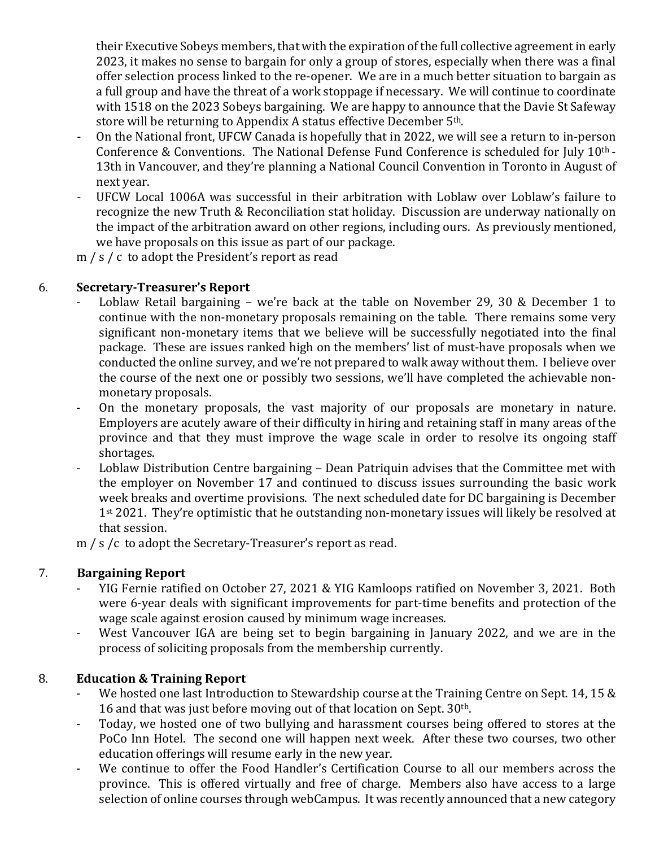their Executive Sobeys members, that with the expiration of the full collective agreement in early 2023, it makes no sense to bargain for only a group of stores, especially when there was a final offer selection process linked to the re-opener. We are in a much better situation to bargain as a full group and have the threat of a work stoppage if necessary. We will continue to coordinate with 1518 on the 2023 Sobeys bargaining. We are happy to announce that the Davie St Safeway store will be returning to Appendix A status effective December 5<sup>th</sup>.

- On the National front, UFCW Canada is hopefully that in 2022, we will see a return to in-person Conference & Conventions. The National Defense Fund Conference is scheduled for July 10th - 13th in Vancouver, and they're planning a National Council Convention in Toronto in August of next year.
- UFCW Local 1006A was successful in their arbitration with Loblaw over Loblaw's failure to recognize the new Truth & Reconciliation stat holiday. Discussion are underway nationally on the impact of the arbitration award on other regions, including ours. As previously mentioned, we have proposals on this issue as part of our package.

m / s / c to adopt the President's report as read

# 6. **Secretary-Treasurer's Report**

- Loblaw Retail bargaining we're back at the table on November 29, 30  $&$  December 1 to continue with the non-monetary proposals remaining on the table. There remains some very significant non-monetary items that we believe will be successfully negotiated into the final package. These are issues ranked high on the members' list of must-have proposals when we conducted the online survey, and we're not prepared to walk away without them. I believe over the course of the next one or possibly two sessions, we'll have completed the achievable nonmonetary proposals.
- On the monetary proposals, the vast majority of our proposals are monetary in nature. Employers are acutely aware of their difficulty in hiring and retaining staff in many areas of the province and that they must improve the wage scale in order to resolve its ongoing staff shortages.
- Loblaw Distribution Centre bargaining Dean Patriquin advises that the Committee met with the employer on November 17 and continued to discuss issues surrounding the basic work week breaks and overtime provisions. The next scheduled date for DC bargaining is December 1<sup>st</sup> 2021. They're optimistic that he outstanding non-monetary issues will likely be resolved at that session.

m / s /c to adopt the Secretary-Treasurer's report as read.

# 7. **Bargaining Report**

- YIG Fernie ratified on October 27, 2021 & YIG Kamloops ratified on November 3, 2021. Both were 6-year deals with significant improvements for part-time benefits and protection of the wage scale against erosion caused by minimum wage increases.
- West Vancouver IGA are being set to begin bargaining in January 2022, and we are in the process of soliciting proposals from the membership currently.

# 8. **Education & Training Report**

- We hosted one last Introduction to Stewardship course at the Training Centre on Sept. 14, 15 & 16 and that was just before moving out of that location on Sept. 30<sup>th</sup>.
- Today, we hosted one of two bullying and harassment courses being offered to stores at the PoCo Inn Hotel. The second one will happen next week. After these two courses, two other education offerings will resume early in the new year.
- We continue to offer the Food Handler's Certification Course to all our members across the province. This is offered virtually and free of charge. Members also have access to a large selection of online courses through webCampus. It was recently announced that a new category